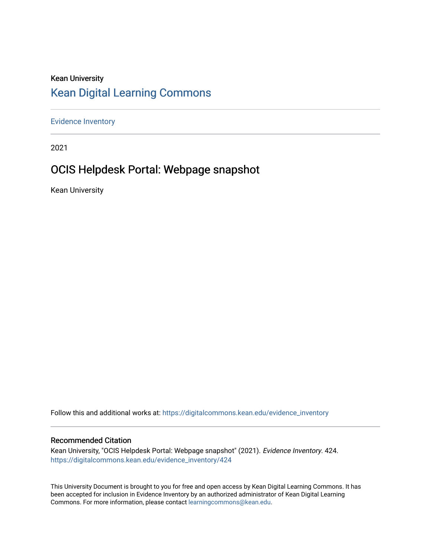## Kean University [Kean Digital Learning Commons](https://digitalcommons.kean.edu/)

[Evidence Inventory](https://digitalcommons.kean.edu/evidence_inventory) 

2021

# OCIS Helpdesk Portal: Webpage snapshot

Kean University

Follow this and additional works at: [https://digitalcommons.kean.edu/evidence\\_inventory](https://digitalcommons.kean.edu/evidence_inventory?utm_source=digitalcommons.kean.edu%2Fevidence_inventory%2F424&utm_medium=PDF&utm_campaign=PDFCoverPages)

#### Recommended Citation

Kean University, "OCIS Helpdesk Portal: Webpage snapshot" (2021). Evidence Inventory. 424. [https://digitalcommons.kean.edu/evidence\\_inventory/424](https://digitalcommons.kean.edu/evidence_inventory/424?utm_source=digitalcommons.kean.edu%2Fevidence_inventory%2F424&utm_medium=PDF&utm_campaign=PDFCoverPages)

This University Document is brought to you for free and open access by Kean Digital Learning Commons. It has been accepted for inclusion in Evidence Inventory by an authorized administrator of Kean Digital Learning Commons. For more information, please contact [learningcommons@kean.edu.](mailto:learningcommons@kean.edu)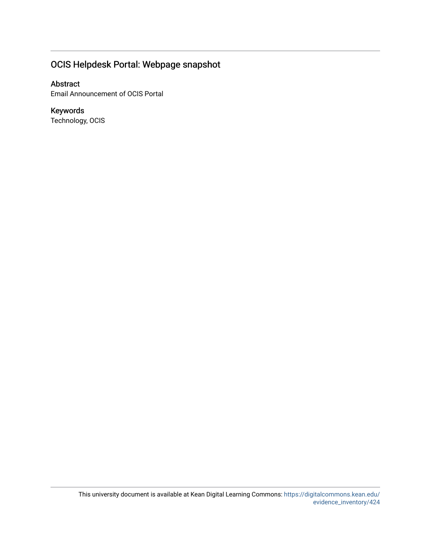## OCIS Helpdesk Portal: Webpage snapshot

### Abstract

Email Announcement of OCIS Portal

### Keywords

Technology, OCIS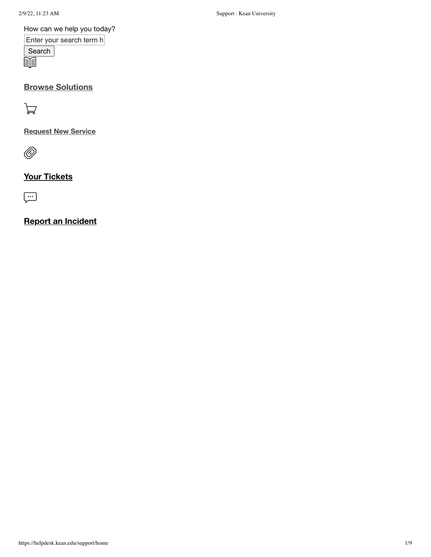2/9/22, 11:23 AM Support : Kean University

#### How can we help you today?

Enter your search term h **Search** 腘

### **Browse [Solutions](https://helpdesk.kean.edu/support/solutions)**

À

### **[Request](https://helpdesk.kean.edu/support/catalog/items) New Service**

 $\langle \!\!\!\langle \!\!\!\langle \!\!\!\langle \rangle \!\!\!\rangle$ 

### **Your [Tickets](https://helpdesk.kean.edu/support/tickets)**

 $\boxed{\cdot \cdot \cdot }$ 

### **Report an [Incident](https://helpdesk.kean.edu/support/tickets/new)**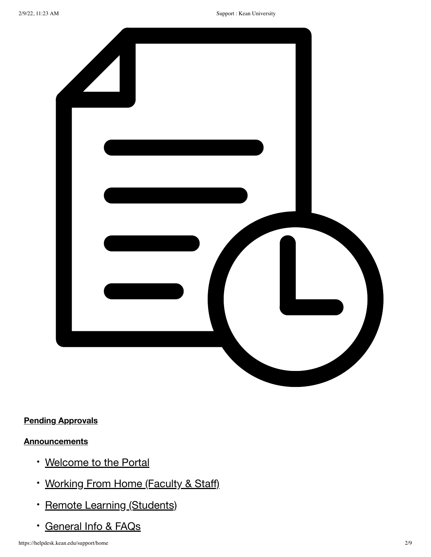

### **Pending [Approvals](https://helpdesk.kean.edu/support/approvals/pending)**

### **[Announcements](https://helpdesk.kean.edu/support/announcements)**

- [Welcome](https://helpdesk.kean.edu/support/solutions/15000045219) to the Portal
- [Working](https://helpdesk.kean.edu/support/solutions/15000046133) From Home (Faculty & Staff)
- · Remote Learning [\(Students\)](https://helpdesk.kean.edu/support/solutions/15000046134)
- [General](https://helpdesk.kean.edu/support/solutions/15000035815) Info & FAQs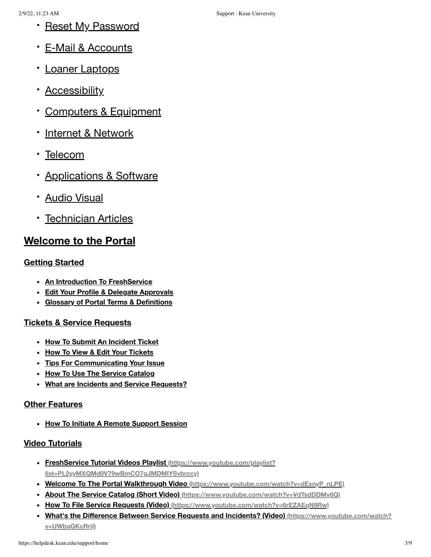- · Reset [My Password](https://helpdesk.kean.edu/support/solutions/15000045825)
- E-Mail & [Accounts](https://helpdesk.kean.edu/support/solutions/15000045569)
- Loaner [Laptops](https://helpdesk.kean.edu/support/solutions/15000045958)
- [Accessibility](https://helpdesk.kean.edu/support/solutions/15000045378)
- [Computers &](https://helpdesk.kean.edu/support/solutions/15000042051) Equipment
- · Internet & [Network](https://helpdesk.kean.edu/support/solutions/15000042054)
- [Telecom](https://helpdesk.kean.edu/support/solutions/15000046136)
- · [Applications &](https://helpdesk.kean.edu/support/solutions/15000042056) Software
- Audio [Visual](https://helpdesk.kean.edu/support/solutions/15000045213)
- **[Technician](https://helpdesk.kean.edu/support/solutions/15000045999) Articles**

## **[Welcome](https://helpdesk.kean.edu/support/solutions/15000045219) to the Portal**

### **Getting [Started](https://helpdesk.kean.edu/support/solutions/folders/15000075216)**

- **An Introduction To [FreshService](https://helpdesk.kean.edu/support/solutions/articles/15000056862-an-introduction-to-freshservice)**
- **Edit Your Profile & Delegate [Approvals](https://helpdesk.kean.edu/support/solutions/articles/15000044727-edit-your-profile-delegate-approvals)**
- **Glossary of Portal Terms & [Definitions](https://helpdesk.kean.edu/support/solutions/articles/15000057131-glossary-of-portal-terms-definitions)**

### **Tickets & Service [Requests](https://helpdesk.kean.edu/support/solutions/folders/15000075217)**

- **How To Submit An [Incident](https://helpdesk.kean.edu/support/solutions/articles/15000043772-how-to-submit-an-incident-ticket) Ticket**
- **How To View & Edit Your [Tickets](https://helpdesk.kean.edu/support/solutions/articles/15000057143-how-to-view-edit-your-tickets)**
- **Tips For [Communicating](https://helpdesk.kean.edu/support/solutions/articles/15000044865-tips-for-communicating-your-issue) Your Issue**
- **How To Use The Service [Catalog](https://helpdesk.kean.edu/support/solutions/articles/15000058474-how-to-use-the-service-catalog)**
- **What are Incidents and Service [Requests?](https://helpdesk.kean.edu/support/solutions/articles/15000059740-what-are-incidents-and-service-requests-)**

#### **Other [Features](https://helpdesk.kean.edu/support/solutions/folders/15000075218)**

**How To Initiate A Remote [Support](https://helpdesk.kean.edu/support/solutions/articles/15000057334-how-to-initiate-a-remote-support-session) Session**

### **Video [Tutorials](https://helpdesk.kean.edu/support/solutions/folders/15000075654)**

- **FreshService Tutorial Videos Playlist (https://www.youtube.com/playlist? [list=PL2yyMXQMd0V79wBmCO7gJMDMlYSvbrccy\)](https://www.youtube.com/playlist?list=PL2yyMXQMd0V79wBmCO7gJMDMlYSvbrccy)**
- **Welcome To The Portal Walkthrough Video [\(https://www.youtube.com/watch?v=dExnyP\\_nLPE\)](https://www.youtube.com/watch?v=dExnyP_nLPE)**
- **About The Service Catalog (Short Video) [\(https://www.youtube.com/watch?v=VdTsdDDMy8Q\)](https://www.youtube.com/watch?v=VdTsdDDMy8Q)**
- **How To File Service Requests (Video) [\(https://www.youtube.com/watch?v=6rEZAEqN9Rw\)](https://www.youtube.com/watch?v=6rEZAEqN9Rw)**
- **What's the Difference Between Service Requests and Incidents? (Video) [\(https://www.youtube.com/watch?](https://www.youtube.com/watch?v=UWbaGKcRrjI) v=UWbaGKcRrjI)**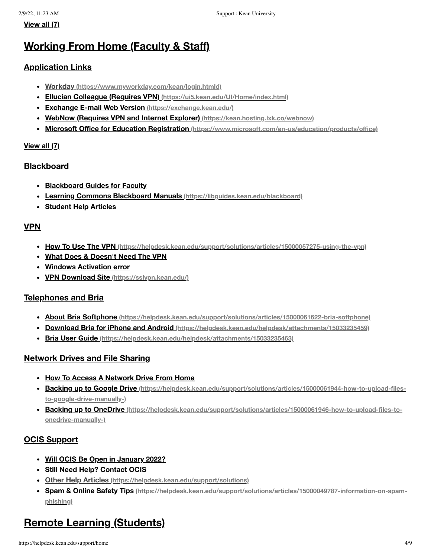## **[Working](https://helpdesk.kean.edu/support/solutions/15000046133) From Home (Faculty & Staff)**

#### **[Application](https://helpdesk.kean.edu/support/solutions/folders/15000076541) Links**

- **Workday [\(https://www.myworkday.com/kean/login.htmld\)](https://www.myworkday.com/kean/login.htmld)**
- **Ellucian Colleague (Requires VPN) [\(https://ui5.kean.edu/UI/Home/index.html\)](https://ui5.kean.edu/UI/Home/index.html)**
- **Exchange E-mail Web Version [\(https://exchange.kean.edu/\)](https://exchange.kean.edu/)**
- **WebNow (Requires VPN and Internet Explorer) [\(https://kean.hosting.lxk.co/webnow\)](https://kean.hosting.lxk.co/webnow)**
- **Microsoft Office for Education Registration [\(https://www.microsoft.com/en-us/education/products/office\)](https://www.microsoft.com/en-us/education/products/office)**

#### **[View](https://helpdesk.kean.edu/support/solutions/folders/15000076541) all (7)**

#### **[Blackboard](https://helpdesk.kean.edu/support/solutions/folders/15000076542)**

- **[Blackboard](https://helpdesk.kean.edu/support/solutions/articles/15000065410-blackboard-guides-for-faculty) Guides for Faculty**
- **Learning Commons Blackboard Manuals [\(https://libguides.kean.edu/blackboard\)](https://libguides.kean.edu/blackboard)**
- **[Student](https://helpdesk.kean.edu/support/solutions/articles/15000065409-student-help-articles) Help Articles**

#### **[VPN](https://helpdesk.kean.edu/support/solutions/folders/15000076544)**

- **How To Use The VPN [\(https://helpdesk.kean.edu/support/solutions/articles/15000057275-using-the-vpn\)](https://helpdesk.kean.edu/support/solutions/articles/15000057275-using-the-vpn)**
- **What Does & [Doesn't](https://helpdesk.kean.edu/support/solutions/articles/15000065428-what-does-doesn-t-need-the-vpn) Need The VPN**
- **Windows [Activation](https://helpdesk.kean.edu/support/solutions/articles/15000065415-windows-activation-error) error**
- **VPN Download Site [\(https://sslvpn.kean.edu/\)](https://sslvpn.kean.edu/)**

#### **[Telephones](https://helpdesk.kean.edu/support/solutions/folders/15000076545) and Bria**

- **About Bria Softphone [\(https://helpdesk.kean.edu/support/solutions/articles/15000061622-bria-softphone\)](https://helpdesk.kean.edu/support/solutions/articles/15000061622-bria-softphone)**
- **Download Bria for iPhone and Android [\(https://helpdesk.kean.edu/helpdesk/attachments/15033235459\)](https://helpdesk.kean.edu/helpdesk/attachments/15033235459)**
- **Bria User Guide [\(https://helpdesk.kean.edu/helpdesk/attachments/15033235463\)](https://helpdesk.kean.edu/helpdesk/attachments/15033235463)**

#### **[Network](https://helpdesk.kean.edu/support/solutions/folders/15000076547) Drives and File Sharing**

- **How To Access A [Network](https://helpdesk.kean.edu/support/solutions/articles/15000065424-how-to-access-a-network-drive-from-home) Drive From Home**
- **Backing up to Google Drive [\(https://helpdesk.kean.edu/support/solutions/articles/15000061944-how-to-upload-files](https://helpdesk.kean.edu/support/solutions/articles/15000061944-how-to-upload-files-to-google-drive-manually-)to-google-drive-manually-)**
- **Backing up to OneDrive [\(https://helpdesk.kean.edu/support/solutions/articles/15000061946-how-to-upload-files-to](https://helpdesk.kean.edu/support/solutions/articles/15000061946-how-to-upload-files-to-onedrive-manually-)onedrive-manually-)**

#### **OCIS [Support](https://helpdesk.kean.edu/support/solutions/folders/15000076549)**

- **Will OCIS Be Open in [January](https://helpdesk.kean.edu/support/solutions/articles/15000065432-will-ocis-be-open-in-january-2022-) 2022?**
- **Still Need Help? [Contact](https://helpdesk.kean.edu/support/solutions/articles/15000065449-still-need-help-contact-ocis) OCIS**
- **Other Help Articles [\(https://helpdesk.kean.edu/support/solutions\)](https://helpdesk.kean.edu/support/solutions)**
- **Spam & Online Safety Tips [\(https://helpdesk.kean.edu/support/solutions/articles/15000049787-information-on-spam](https://helpdesk.kean.edu/support/solutions/articles/15000049787-information-on-spam-phishing)phishing)**

# **Remote Learning [\(Students\)](https://helpdesk.kean.edu/support/solutions/15000046134)**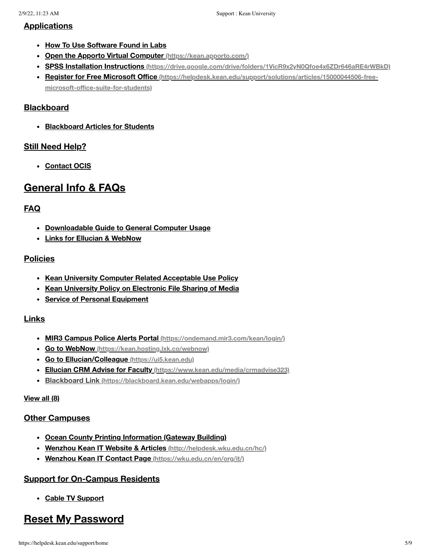#### **[Applications](https://helpdesk.kean.edu/support/solutions/folders/15000076548)**

- **How To Use [Software](https://helpdesk.kean.edu/support/solutions/articles/15000065447-how-to-use-software-found-in-labs) Found in Labs**
- **Open the Apporto Virtual Computer [\(https://kean.apporto.com/\)](https://kean.apporto.com/)**
- **SPSS Installation Instructions [\(https://drive.google.com/drive/folders/1VicR9x2yN0Qfoe4x6ZDr646aRE4rWBkD\)](https://drive.google.com/drive/folders/1VicR9x2yN0Qfoe4x6ZDr646aRE4rWBkD)**
- **Register for Free Microsoft Office [\(https://helpdesk.kean.edu/support/solutions/articles/15000044506-free](https://helpdesk.kean.edu/support/solutions/articles/15000044506-free-microsoft-office-suite-for-students)microsoft-office-suite-for-students)**

#### **[Blackboard](https://helpdesk.kean.edu/support/solutions/folders/15000076551)**

**[Blackboard](https://helpdesk.kean.edu/support/solutions/articles/15000065443-blackboard-articles-for-students) Articles for Students**

#### **Still Need [Help?](https://helpdesk.kean.edu/support/solutions/folders/15000076554)**

**[Contact](https://helpdesk.kean.edu/support/solutions/articles/15000065448-contact-ocis) OCIS**

## **[General](https://helpdesk.kean.edu/support/solutions/15000035815) Info & FAQs**

#### **[FAQ](https://helpdesk.kean.edu/support/solutions/folders/15000054769)**

- **[Downloadable](https://helpdesk.kean.edu/support/solutions/articles/15000059729-downloadable-guide-to-general-computer-usage) Guide to General Computer Usage**
- **Links for Ellucian & [WebNow](https://helpdesk.kean.edu/support/solutions/articles/15000043770-links-for-ellucian-webnow)**

#### **[Policies](https://helpdesk.kean.edu/support/solutions/folders/15000075213)**

- **Kean University Computer Related [Acceptable](https://helpdesk.kean.edu/support/solutions/articles/15000057332-kean-university-computer-related-acceptable-use-policy) Use Policy**
- **Kean University Policy on [Electronic](https://helpdesk.kean.edu/support/solutions/articles/15000057337-kean-university-policy-on-electronic-file-sharing-of-media) File Sharing of Media**
- **Service of Personal [Equipment](https://helpdesk.kean.edu/support/solutions/articles/15000060845-service-of-personal-equipment)**

#### **[Links](https://helpdesk.kean.edu/support/solutions/folders/15000075219)**

- **MIR3 Campus Police Alerts Portal [\(https://ondemand.mir3.com/kean/login/\)](https://ondemand.mir3.com/kean/login/)**
- **Go to WebNow [\(https://kean.hosting.lxk.co/webnow\)](https://kean.hosting.lxk.co/webnow)**
- **Go to [Ellucian/Colleague](https://ui5.kean.edu/) (https://ui5.kean.edu)**
- **Ellucian CRM Advise for Faculty [\(https://www.kean.edu/media/crmadvise323\)](https://www.kean.edu/media/crmadvise323)**
- **Blackboard Link [\(https://blackboard.kean.edu/webapps/login/\)](https://blackboard.kean.edu/webapps/login/)**

#### **[View](https://helpdesk.kean.edu/support/solutions/folders/15000075219) all (8)**

#### **Other [Campuses](https://helpdesk.kean.edu/support/solutions/folders/15000075220)**

- **Ocean County Printing [Information](https://helpdesk.kean.edu/support/solutions/articles/15000014283-ocean-county-printing-information-gateway-building-) (Gateway Building)**
- **Wenzhou Kean IT Website & Articles [\(http://helpdesk.wku.edu.cn/hc/\)](http://helpdesk.wku.edu.cn/hc/)**
- **Wenzhou Kean IT Contact Page [\(https://wku.edu.cn/en/org/it/\)](https://wku.edu.cn/en/org/it/)**

#### **Support for [On-Campus](https://helpdesk.kean.edu/support/solutions/folders/15000075987) Residents**

**Cable TV [Support](https://helpdesk.kean.edu/support/solutions/articles/15000061854-cable-tv-support)**

## **Reset My [Password](https://helpdesk.kean.edu/support/solutions/15000045825)**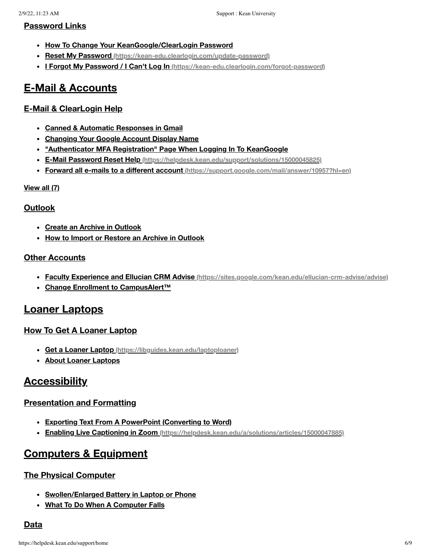#### **[Password](https://helpdesk.kean.edu/support/solutions/folders/15000075351) Links**

- **How To Change Your [KeanGoogle/ClearLogin](https://helpdesk.kean.edu/support/solutions/articles/15000052071-how-to-change-your-keangoogle-clearlogin-password) Password**
- **Reset My Password [\(https://kean-edu.clearlogin.com/update-password\)](https://kean-edu.clearlogin.com/update-password)**
- **I Forgot My Password / I Can't Log In [\(https://kean-edu.clearlogin.com/forgot-password\)](https://kean-edu.clearlogin.com/forgot-password)**

## **E-Mail & [Accounts](https://helpdesk.kean.edu/support/solutions/15000045569)**

#### **E-Mail & [ClearLogin](https://helpdesk.kean.edu/support/solutions/folders/15000074292) Help**

- **Canned & Automatic [Responses](https://helpdesk.kean.edu/support/solutions/articles/15000043771-canned-automatic-responses-in-gmail) in Gmail**
- **[Changing](https://helpdesk.kean.edu/support/solutions/articles/15000052069-changing-your-google-account-display-name) Your Google Account Display Name**
- **["Authenticator](https://helpdesk.kean.edu/support/solutions/articles/15000052186--authenticator-mfa-registration-page-when-logging-in-to-keangoogle) MFA Registration" Page When Logging In To KeanGoogle**
- **E-Mail Password Reset Help [\(https://helpdesk.kean.edu/support/solutions/15000045825\)](https://helpdesk.kean.edu/support/solutions/15000045825)**
- **Forward all e-mails to a different account [\(https://support.google.com/mail/answer/10957?hl=en\)](https://support.google.com/mail/answer/10957?hl=en)**

#### **[View](https://helpdesk.kean.edu/support/solutions/folders/15000074292) all (7)**

#### **[Outlook](https://helpdesk.kean.edu/support/solutions/folders/15000066019)**

- **Create an Archive in [Outlook](https://helpdesk.kean.edu/support/solutions/articles/15000044176-create-an-archive-in-outlook)**
- **How to Import or Restore an Archive in [Outlook](https://helpdesk.kean.edu/support/solutions/articles/15000044178-how-to-import-or-restore-an-archive-in-outlook)**

#### **Other [Accounts](https://helpdesk.kean.edu/support/solutions/folders/15000075947)**

- **Faculty Experience and Ellucian CRM Advise [\(https://sites.google.com/kean.edu/ellucian-crm-advise/advise\)](https://sites.google.com/kean.edu/ellucian-crm-advise/advise)**
- **Change Enrollment to [CampusAlert™](https://helpdesk.kean.edu/support/solutions/articles/15000062933-change-enrollment-to-campusalert-)**

### **Loaner [Laptops](https://helpdesk.kean.edu/support/solutions/15000045958)**

#### **How To Get A Loaner [Laptop](https://helpdesk.kean.edu/support/solutions/folders/15000075870)**

- **Get a Loaner Laptop [\(https://libguides.kean.edu/laptoploaner\)](https://libguides.kean.edu/laptoploaner)**
- **About Loaner [Laptops](https://helpdesk.kean.edu/support/solutions/articles/15000060842-about-loaner-laptops)**

## **[Accessibility](https://helpdesk.kean.edu/support/solutions/15000045378)**

#### **[Presentation](https://helpdesk.kean.edu/support/solutions/folders/15000073572) and Formatting**

- **Exporting Text From A PowerPoint [\(Converting](https://helpdesk.kean.edu/support/solutions/articles/15000047886-exporting-text-from-a-powerpoint-converting-to-word-) to Word)**
- **Enabling Live Captioning in Zoom [\(https://helpdesk.kean.edu/a/solutions/articles/15000047885\)](https://helpdesk.kean.edu/a/solutions/articles/15000047885)**

## **[Computers](https://helpdesk.kean.edu/support/solutions/15000042051) & Equipment**

#### **The Physical [Computer](https://helpdesk.kean.edu/support/solutions/folders/15000075655)**

- **[Swollen/Enlarged](https://helpdesk.kean.edu/support/solutions/articles/15000057292-swollen-enlarged-battery-in-laptop-or-phone) Battery in Laptop or Phone**
- **What To Do When A [Computer](https://helpdesk.kean.edu/support/solutions/articles/15000061949-what-to-do-when-a-computer-falls) Falls**

#### **[Data](https://helpdesk.kean.edu/support/solutions/folders/15000075997)**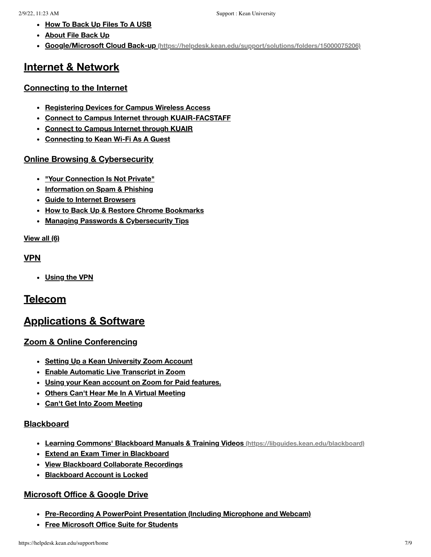- **How To [Back](https://helpdesk.kean.edu/support/solutions/articles/15000061941-how-to-back-up-files-to-a-usb) Up Files To A USB**
- **[About](https://helpdesk.kean.edu/support/solutions/articles/15000061942-about-file-back-up) File Back Up**
- **Google/Microsoft Cloud Back-up [\(https://helpdesk.kean.edu/support/solutions/folders/15000075206\)](https://helpdesk.kean.edu/support/solutions/folders/15000075206)**

## **Internet & [Network](https://helpdesk.kean.edu/support/solutions/15000042054)**

#### **[Connecting](https://helpdesk.kean.edu/support/solutions/folders/15000075201) to the Internet**

- **[Registering](https://helpdesk.kean.edu/support/solutions/articles/15000031075-registering-devices-for-campus-wireless-access) Devices for Campus Wireless Access**
- **Connect to Campus Internet through [KUAIR-FACSTAFF](https://helpdesk.kean.edu/support/solutions/articles/15000057284-connect-to-campus-internet-through-kuair-facstaff)**
- **[Connect](https://helpdesk.kean.edu/support/solutions/articles/15000011581-connect-to-campus-internet-through-kuair) to Campus Internet through KUAIR**
- **[Connecting](https://helpdesk.kean.edu/support/solutions/articles/15000063348-connecting-to-kean-wi-fi-as-a-guest) to Kean Wi-Fi As A Guest**

#### **Online Browsing & [Cybersecurity](https://helpdesk.kean.edu/support/solutions/folders/15000075200)**

- **"Your [Connection](https://helpdesk.kean.edu/support/solutions/articles/15000050565--your-connection-is-not-private-) Is Not Private"**
- **[Information](https://helpdesk.kean.edu/support/solutions/articles/15000049787-information-on-spam-phishing) on Spam & Phishing**
- **Guide to Internet [Browsers](https://helpdesk.kean.edu/support/solutions/articles/15000044863-guide-to-internet-browsers)**
- **How to Back Up & Restore Chrome [Bookmarks](https://helpdesk.kean.edu/support/solutions/articles/15000044180-how-to-back-up-restore-chrome-bookmarks)**
- **Managing Passwords & [Cybersecurity](https://helpdesk.kean.edu/support/solutions/articles/15000052070-managing-passwords-cybersecurity-tips) Tips**

#### **[View](https://helpdesk.kean.edu/support/solutions/folders/15000075200) all (6)**

#### **[VPN](https://helpdesk.kean.edu/support/solutions/folders/15000075451)**

**[Using](https://helpdesk.kean.edu/support/solutions/articles/15000057275-using-the-vpn) the VPN**

## **[Telecom](https://helpdesk.kean.edu/support/solutions/15000046136)**

## **[Applications](https://helpdesk.kean.edu/support/solutions/15000042056) & Software**

#### **Zoom & Online [Conferencing](https://helpdesk.kean.edu/support/solutions/folders/15000071131)**

- **Setting Up a Kean [University](https://helpdesk.kean.edu/support/solutions/articles/15000035178-setting-up-a-kean-university-zoom-account) Zoom Account**
- **Enable [Automatic](https://helpdesk.kean.edu/support/solutions/articles/15000047885-enable-automatic-live-transcript-in-zoom) Live Transcript in Zoom**
- **Using your Kean account on Zoom for Paid [features.](https://helpdesk.kean.edu/support/solutions/articles/15000048069-using-your-kean-account-on-zoom-for-paid-features-)**
- **Others Can't Hear Me In A Virtual [Meeting](https://helpdesk.kean.edu/support/solutions/articles/15000065628-others-can-t-hear-me-in-a-virtual-meeting)**
- **Can't Get Into Zoom [Meeting](https://helpdesk.kean.edu/support/solutions/articles/15000066866-can-t-get-into-zoom-meeting)**

#### **[Blackboard](https://helpdesk.kean.edu/support/solutions/folders/15000075204)**

- **Learning Commons' Blackboard Manuals & Training Videos [\(https://libguides.kean.edu/blackboard\)](https://libguides.kean.edu/blackboard)**
- **Extend an Exam Timer in [Blackboard](https://helpdesk.kean.edu/support/solutions/articles/15000039687-extend-an-exam-timer-in-blackboard)**
- **View Blackboard [Collaborate](https://helpdesk.kean.edu/support/solutions/articles/15000050356-view-blackboard-collaborate-recordings) Recordings**
- **[Blackboard](https://helpdesk.kean.edu/support/solutions/articles/15000061983-blackboard-account-is-locked) Account is Locked**

#### **[Microsoft](https://helpdesk.kean.edu/support/solutions/folders/15000075206) Office & Google Drive**

- **[Pre-Recording](https://helpdesk.kean.edu/support/solutions/articles/15000048071-pre-recording-a-powerpoint-presentation-including-microphone-and-webcam-) A PowerPoint Presentation (Including Microphone and Webcam)**
- **Free [Microsoft](https://helpdesk.kean.edu/support/solutions/articles/15000044506-free-microsoft-office-suite-for-students) Office Suite for Students**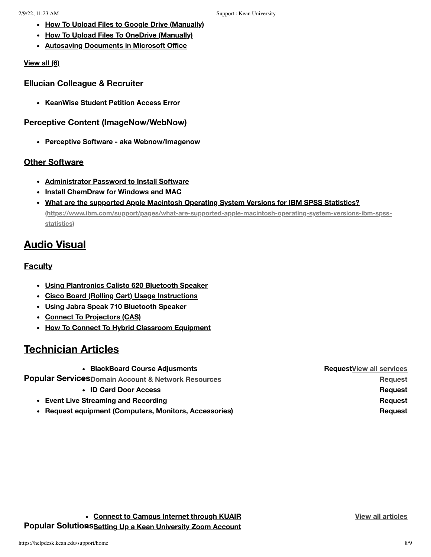- **How To Upload Files to Google Drive [\(Manually\)](https://helpdesk.kean.edu/support/solutions/articles/15000061944-how-to-upload-files-to-google-drive-manually-)**
- **How To Upload Files To OneDrive [\(Manually\)](https://helpdesk.kean.edu/support/solutions/articles/15000061946-how-to-upload-files-to-onedrive-manually-)**
- **Autosaving [Documents](https://helpdesk.kean.edu/support/solutions/articles/15000061951-autosaving-documents-in-microsoft-office) in Microsoft Office**

#### **[View](https://helpdesk.kean.edu/support/solutions/folders/15000075206) all (6)**

#### **Ellucian [Colleague](https://helpdesk.kean.edu/support/solutions/folders/15000075652) & Recruiter**

**[KeanWise](https://helpdesk.kean.edu/support/solutions/articles/15000022068-keanwise-student-petition-access-error) Student Petition Access Error**

#### **Perceptive Content [\(ImageNow/WebNow\)](https://helpdesk.kean.edu/support/solutions/folders/15000075653)**

**Perceptive Software - aka [Webnow/Imagenow](https://helpdesk.kean.edu/support/solutions/articles/15000022064-perceptive-software-aka-webnow-imagenow)**

#### **Other [Software](https://helpdesk.kean.edu/support/solutions/folders/15000076002)**

- **[Administrator](https://helpdesk.kean.edu/support/solutions/articles/15000061986-administrator-password-to-install-software) Password to Install Software**
- **Install [ChemDraw](https://helpdesk.kean.edu/support/solutions/articles/15000065870-install-chemdraw-for-windows-and-mac) for Windows and MAC**
- **What are the supported Apple Macintosh Operating System Versions for IBM SPSS Statistics? [\(https://www.ibm.com/support/pages/what-are-supported-apple-macintosh-operating-system-versions-ibm-spss](https://www.ibm.com/support/pages/what-are-supported-apple-macintosh-operating-system-versions-ibm-spss-statistics)statistics)**

## **Audio [Visual](https://helpdesk.kean.edu/support/solutions/15000045213)**

#### **[Faculty](https://helpdesk.kean.edu/support/solutions/folders/15000072974)**

- **Using [Plantronics](https://helpdesk.kean.edu/support/solutions/articles/15000043649-using-plantronics-calisto-620-bluetooth-speaker) Calisto 620 Bluetooth Speaker**
- **Cisco Board (Rolling Cart) Usage [Instructions](https://helpdesk.kean.edu/support/solutions/articles/15000043650-cisco-board-rolling-cart-usage-instructions)**
- **Using Jabra Speak 710 [Bluetooth](https://helpdesk.kean.edu/support/solutions/articles/15000043651-using-jabra-speak-710-bluetooth-speaker) Speaker**
- **Connect To [Projectors](https://helpdesk.kean.edu/support/solutions/articles/15000066920-connect-to-projectors-cas-) (CAS)**
- **How To Connect To Hybrid [Classroom](https://helpdesk.kean.edu/support/solutions/articles/15000066921-how-to-connect-to-hybrid-classroom-equipment) Equipment**

## **[Technician](https://helpdesk.kean.edu/support/solutions/15000045999) Articles**

| <b>BlackBoard Course Adjusments</b>                    | <b>RequestView all services</b> |
|--------------------------------------------------------|---------------------------------|
| Popular ServicesDomain Account & Network Resources     | <b>Request</b>                  |
| • ID Card Door Access                                  | Reguest                         |
| • Event Live Streaming and Recording                   | Reguest                         |
| • Request equipment (Computers, Monitors, Accessories) | Reauest                         |